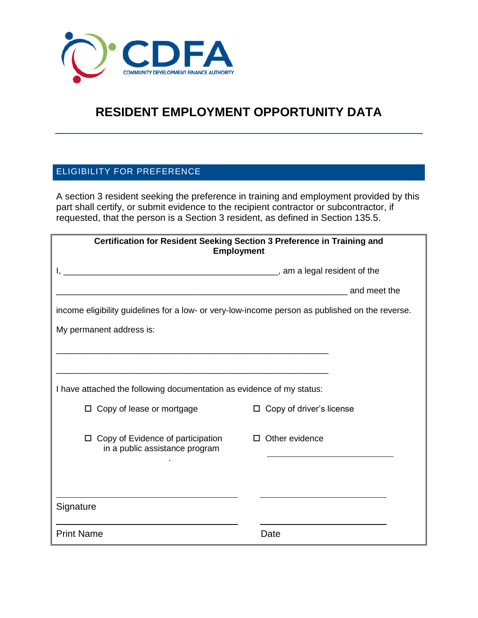

## **RESIDENT EMPLOYMENT OPPORTUNITY DATA**

## ELIGIBILITY FOR PREFERENCE

A section 3 resident seeking the preference in training and employment provided by this part shall certify, or submit evidence to the recipient contractor or subcontractor, if requested, that the person is a Section 3 resident, as defined in Section 135.5.

| Certification for Resident Seeking Section 3 Preference in Training and<br><b>Employment</b>    |                                 |
|-------------------------------------------------------------------------------------------------|---------------------------------|
|                                                                                                 |                                 |
|                                                                                                 | and meet the                    |
| income eligibility guidelines for a low- or very-low-income person as published on the reverse. |                                 |
| My permanent address is:                                                                        |                                 |
|                                                                                                 |                                 |
|                                                                                                 |                                 |
| I have attached the following documentation as evidence of my status:                           |                                 |
| $\Box$ Copy of lease or mortgage                                                                | $\Box$ Copy of driver's license |
| $\Box$ Copy of Evidence of participation<br>in a public assistance program                      | $\Box$ Other evidence           |
|                                                                                                 |                                 |
|                                                                                                 |                                 |
| Signature                                                                                       |                                 |
| <b>Print Name</b>                                                                               | Date                            |